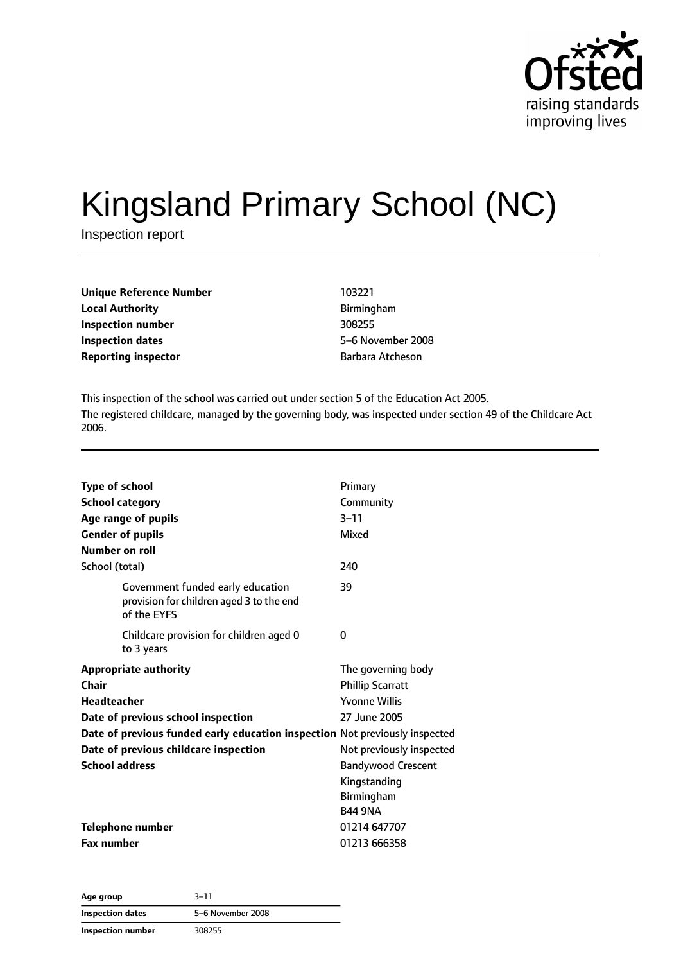

# Kingsland Primary School (NC)

Inspection report

| <b>Unique Reference Number</b><br><b>Local Authority</b> | 103221         |
|----------------------------------------------------------|----------------|
|                                                          | <b>Birminc</b> |
| Inspection number                                        | 308255         |
| Inspection dates                                         | $5-6$ No       |
| <b>Reporting inspector</b>                               | <b>Barbara</b> |

**Local Authority** Birmingham **Inspection number** 308255 **Inspection dates** 5–6 November 2008 **Barbara Atcheson** 

This inspection of the school was carried out under section 5 of the Education Act 2005. The registered childcare, managed by the governing body, was inspected under section 49 of the Childcare Act 2006.

| <b>Type of school</b>                                                                        | Primary                   |
|----------------------------------------------------------------------------------------------|---------------------------|
| <b>School category</b><br>Age range of pupils                                                | Community<br>$3 - 11$     |
| <b>Gender of pupils</b>                                                                      | Mixed                     |
| Number on roll                                                                               |                           |
| School (total)                                                                               | 240                       |
| Government funded early education<br>provision for children aged 3 to the end<br>of the EYFS | 39                        |
| Childcare provision for children aged 0<br>to 3 years                                        | 0                         |
| <b>Appropriate authority</b>                                                                 | The governing body        |
| Chair                                                                                        | <b>Phillip Scarratt</b>   |
| <b>Headteacher</b>                                                                           | <b>Yvonne Willis</b>      |
| Date of previous school inspection                                                           | 27 June 2005              |
| Date of previous funded early education inspection Not previously inspected                  |                           |
| Date of previous childcare inspection                                                        | Not previously inspected  |
| <b>School address</b>                                                                        | <b>Bandywood Crescent</b> |
|                                                                                              | Kingstanding              |
|                                                                                              | <b>Birmingham</b>         |
|                                                                                              | <b>B44 9NA</b>            |
| Telephone number                                                                             | 01214 647707              |
| <b>Fax number</b>                                                                            | 01213 666358              |

**Age group** 3–11 **Inspection dates** 5–6 November 2008 **Inspection number** 308255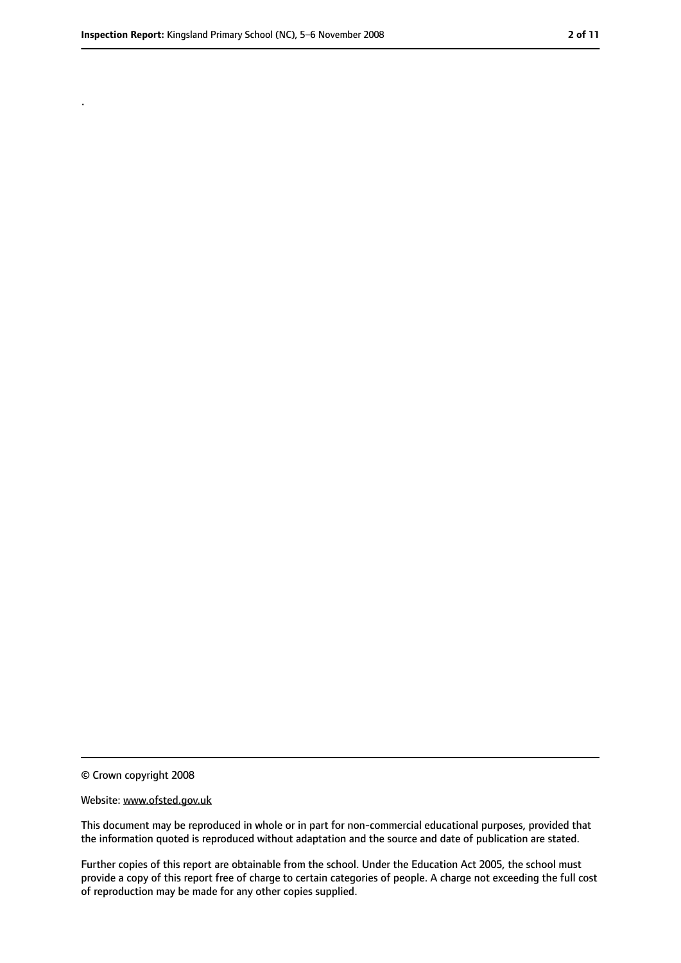.

<sup>©</sup> Crown copyright 2008

Website: www.ofsted.gov.uk

This document may be reproduced in whole or in part for non-commercial educational purposes, provided that the information quoted is reproduced without adaptation and the source and date of publication are stated.

Further copies of this report are obtainable from the school. Under the Education Act 2005, the school must provide a copy of this report free of charge to certain categories of people. A charge not exceeding the full cost of reproduction may be made for any other copies supplied.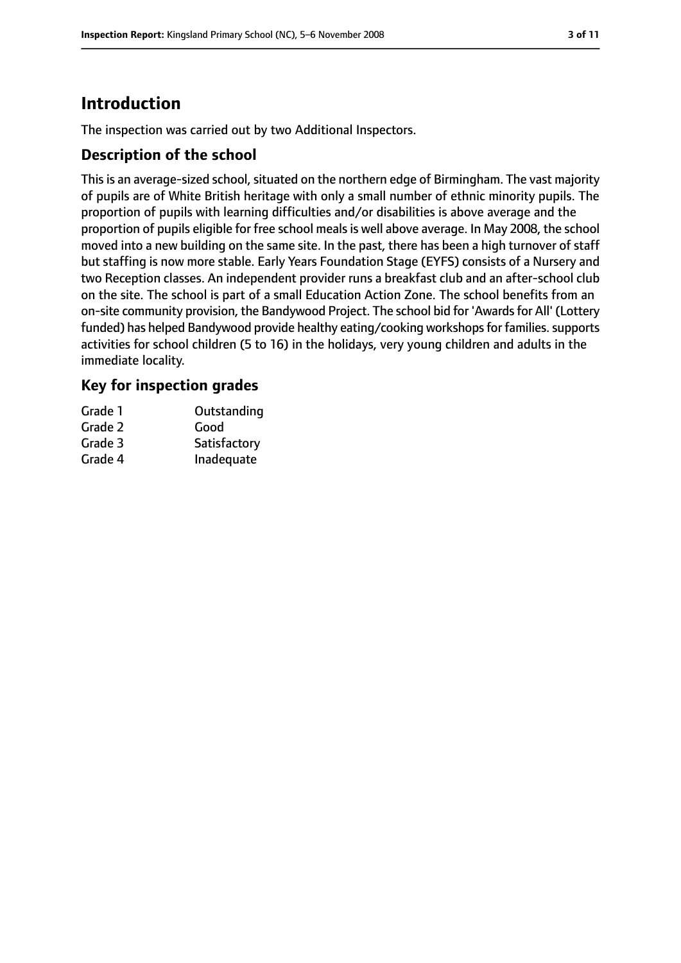## **Introduction**

The inspection was carried out by two Additional Inspectors.

#### **Description of the school**

This is an average-sized school, situated on the northern edge of Birmingham. The vast majority of pupils are of White British heritage with only a small number of ethnic minority pupils. The proportion of pupils with learning difficulties and/or disabilities is above average and the proportion of pupils eligible for free school mealsis well above average. In May 2008, the school moved into a new building on the same site. In the past, there has been a high turnover of staff but staffing is now more stable. Early Years Foundation Stage (EYFS) consists of a Nursery and two Reception classes. An independent provider runs a breakfast club and an after-school club on the site. The school is part of a small Education Action Zone. The school benefits from an on-site community provision, the Bandywood Project. The school bid for 'Awards for All' (Lottery funded) has helped Bandywood provide healthy eating/cooking workshops for families. supports activities for school children (5 to 16) in the holidays, very young children and adults in the immediate locality.

#### **Key for inspection grades**

| Grade 1 | Outstanding  |
|---------|--------------|
| Grade 2 | Good         |
| Grade 3 | Satisfactory |
| Grade 4 | Inadequate   |
|         |              |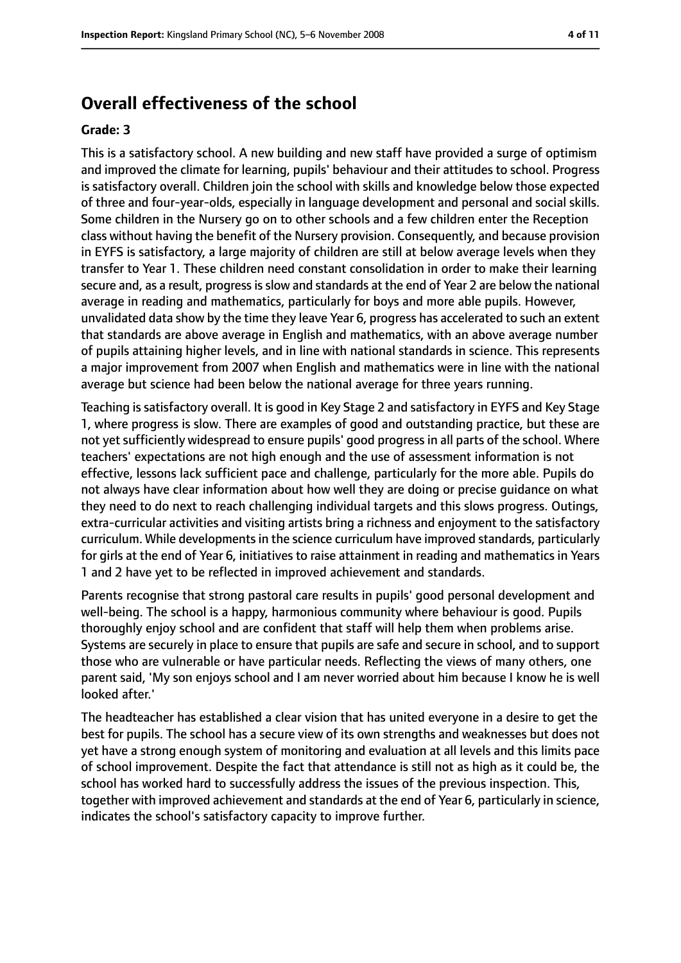### **Overall effectiveness of the school**

#### **Grade: 3**

This is a satisfactory school. A new building and new staff have provided a surge of optimism and improved the climate for learning, pupils' behaviour and their attitudes to school. Progress is satisfactory overall. Children join the school with skills and knowledge below those expected of three and four-year-olds, especially in language development and personal and social skills. Some children in the Nursery go on to other schools and a few children enter the Reception class without having the benefit of the Nursery provision. Consequently, and because provision in EYFS is satisfactory, a large majority of children are still at below average levels when they transfer to Year 1. These children need constant consolidation in order to make their learning secure and, as a result, progressisslow and standards at the end of Year 2 are below the national average in reading and mathematics, particularly for boys and more able pupils. However, unvalidated data show by the time they leave Year 6, progress has accelerated to such an extent that standards are above average in English and mathematics, with an above average number of pupils attaining higher levels, and in line with national standards in science. This represents a major improvement from 2007 when English and mathematics were in line with the national average but science had been below the national average for three years running.

Teaching is satisfactory overall. It is good in Key Stage 2 and satisfactory in EYFS and Key Stage 1, where progress is slow. There are examples of good and outstanding practice, but these are not yet sufficiently widespread to ensure pupils' good progress in all parts of the school. Where teachers' expectations are not high enough and the use of assessment information is not effective, lessons lack sufficient pace and challenge, particularly for the more able. Pupils do not always have clear information about how well they are doing or precise guidance on what they need to do next to reach challenging individual targets and this slows progress. Outings, extra-curricular activities and visiting artists bring a richness and enjoyment to the satisfactory curriculum. While developments in the science curriculum have improved standards, particularly for girls at the end of Year 6, initiatives to raise attainment in reading and mathematics in Years 1 and 2 have yet to be reflected in improved achievement and standards.

Parents recognise that strong pastoral care results in pupils' good personal development and well-being. The school is a happy, harmonious community where behaviour is good. Pupils thoroughly enjoy school and are confident that staff will help them when problems arise. Systems are securely in place to ensure that pupils are safe and secure in school, and to support those who are vulnerable or have particular needs. Reflecting the views of many others, one parent said, 'My son enjoys school and I am never worried about him because I know he is well looked after.'

The headteacher has established a clear vision that has united everyone in a desire to get the best for pupils. The school has a secure view of its own strengths and weaknesses but does not yet have a strong enough system of monitoring and evaluation at all levels and this limits pace of school improvement. Despite the fact that attendance is still not as high as it could be, the school has worked hard to successfully address the issues of the previous inspection. This, together with improved achievement and standards at the end of Year 6, particularly in science, indicates the school's satisfactory capacity to improve further.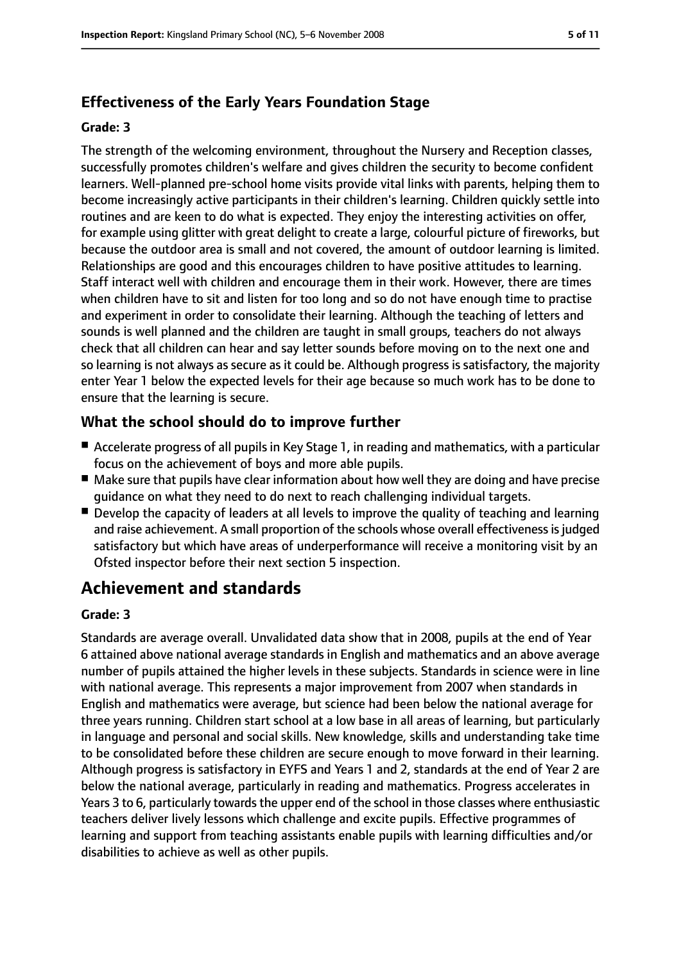### **Effectiveness of the Early Years Foundation Stage**

#### **Grade: 3**

The strength of the welcoming environment, throughout the Nursery and Reception classes, successfully promotes children's welfare and gives children the security to become confident learners. Well-planned pre-school home visits provide vital links with parents, helping them to become increasingly active participants in their children's learning. Children quickly settle into routines and are keen to do what is expected. They enjoy the interesting activities on offer, for example using glitter with great delight to create a large, colourful picture of fireworks, but because the outdoor area is small and not covered, the amount of outdoor learning is limited. Relationships are good and this encourages children to have positive attitudes to learning. Staff interact well with children and encourage them in their work. However, there are times when children have to sit and listen for too long and so do not have enough time to practise and experiment in order to consolidate their learning. Although the teaching of letters and sounds is well planned and the children are taught in small groups, teachers do not always check that all children can hear and say letter sounds before moving on to the next one and so learning is not always as secure as it could be. Although progress is satisfactory, the majority enter Year 1 below the expected levels for their age because so much work has to be done to ensure that the learning is secure.

#### **What the school should do to improve further**

- Accelerate progress of all pupils in Key Stage 1, in reading and mathematics, with a particular focus on the achievement of boys and more able pupils.
- Make sure that pupils have clear information about how well they are doing and have precise guidance on what they need to do next to reach challenging individual targets.
- Develop the capacity of leaders at all levels to improve the quality of teaching and learning and raise achievement. A small proportion of the schools whose overall effectiveness is judged satisfactory but which have areas of underperformance will receive a monitoring visit by an Ofsted inspector before their next section 5 inspection.

### **Achievement and standards**

#### **Grade: 3**

Standards are average overall. Unvalidated data show that in 2008, pupils at the end of Year 6 attained above national average standards in English and mathematics and an above average number of pupils attained the higher levels in these subjects. Standards in science were in line with national average. This represents a major improvement from 2007 when standards in English and mathematics were average, but science had been below the national average for three years running. Children start school at a low base in all areas of learning, but particularly in language and personal and social skills. New knowledge, skills and understanding take time to be consolidated before these children are secure enough to move forward in their learning. Although progress is satisfactory in EYFS and Years 1 and 2, standards at the end of Year 2 are below the national average, particularly in reading and mathematics. Progress accelerates in Years 3 to 6, particularly towards the upper end of the school in those classes where enthusiastic teachers deliver lively lessons which challenge and excite pupils. Effective programmes of learning and support from teaching assistants enable pupils with learning difficulties and/or disabilities to achieve as well as other pupils.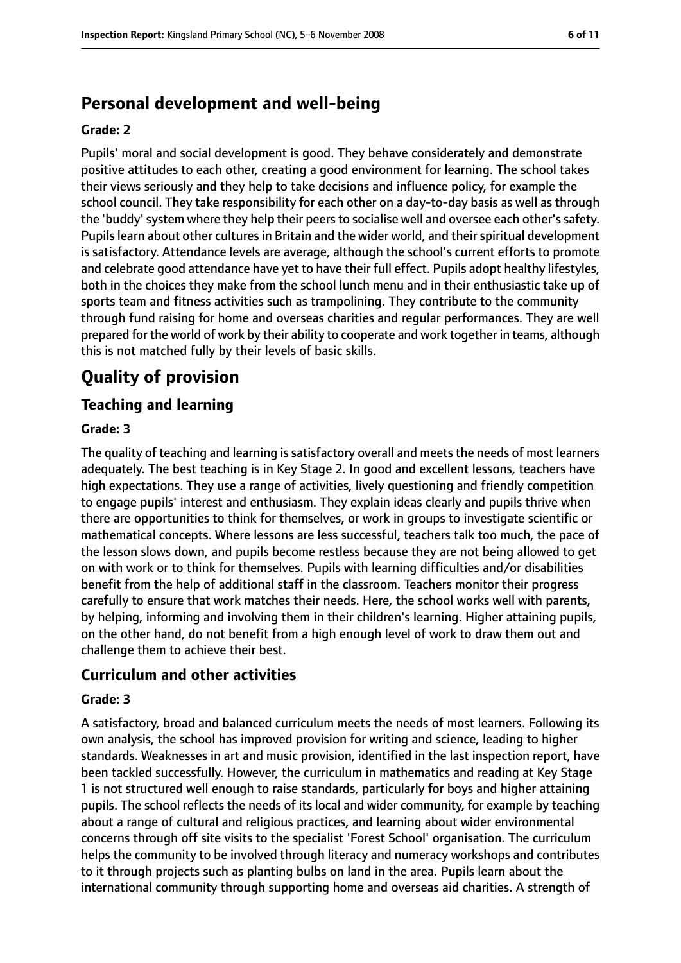### **Personal development and well-being**

#### **Grade: 2**

Pupils' moral and social development is good. They behave considerately and demonstrate positive attitudes to each other, creating a good environment for learning. The school takes their views seriously and they help to take decisions and influence policy, for example the school council. They take responsibility for each other on a day-to-day basis as well as through the 'buddy' system where they help their peers to socialise well and oversee each other's safety. Pupils learn about other cultures in Britain and the wider world, and their spiritual development is satisfactory. Attendance levels are average, although the school's current efforts to promote and celebrate good attendance have yet to have their full effect. Pupils adopt healthy lifestyles, both in the choices they make from the school lunch menu and in their enthusiastic take up of sports team and fitness activities such as trampolining. They contribute to the community through fund raising for home and overseas charities and regular performances. They are well prepared for the world of work by their ability to cooperate and work together in teams, although this is not matched fully by their levels of basic skills.

### **Quality of provision**

#### **Teaching and learning**

#### **Grade: 3**

The quality of teaching and learning is satisfactory overall and meets the needs of most learners adequately. The best teaching is in Key Stage 2. In good and excellent lessons, teachers have high expectations. They use a range of activities, lively questioning and friendly competition to engage pupils' interest and enthusiasm. They explain ideas clearly and pupils thrive when there are opportunities to think for themselves, or work in groups to investigate scientific or mathematical concepts. Where lessons are less successful, teachers talk too much, the pace of the lesson slows down, and pupils become restless because they are not being allowed to get on with work or to think for themselves. Pupils with learning difficulties and/or disabilities benefit from the help of additional staff in the classroom. Teachers monitor their progress carefully to ensure that work matches their needs. Here, the school works well with parents, by helping, informing and involving them in their children's learning. Higher attaining pupils, on the other hand, do not benefit from a high enough level of work to draw them out and challenge them to achieve their best.

#### **Curriculum and other activities**

#### **Grade: 3**

A satisfactory, broad and balanced curriculum meets the needs of most learners. Following its own analysis, the school has improved provision for writing and science, leading to higher standards. Weaknesses in art and music provision, identified in the last inspection report, have been tackled successfully. However, the curriculum in mathematics and reading at Key Stage 1 is not structured well enough to raise standards, particularly for boys and higher attaining pupils. The school reflects the needs of its local and wider community, for example by teaching about a range of cultural and religious practices, and learning about wider environmental concerns through off site visits to the specialist 'Forest School' organisation. The curriculum helps the community to be involved through literacy and numeracy workshops and contributes to it through projects such as planting bulbs on land in the area. Pupils learn about the international community through supporting home and overseas aid charities. A strength of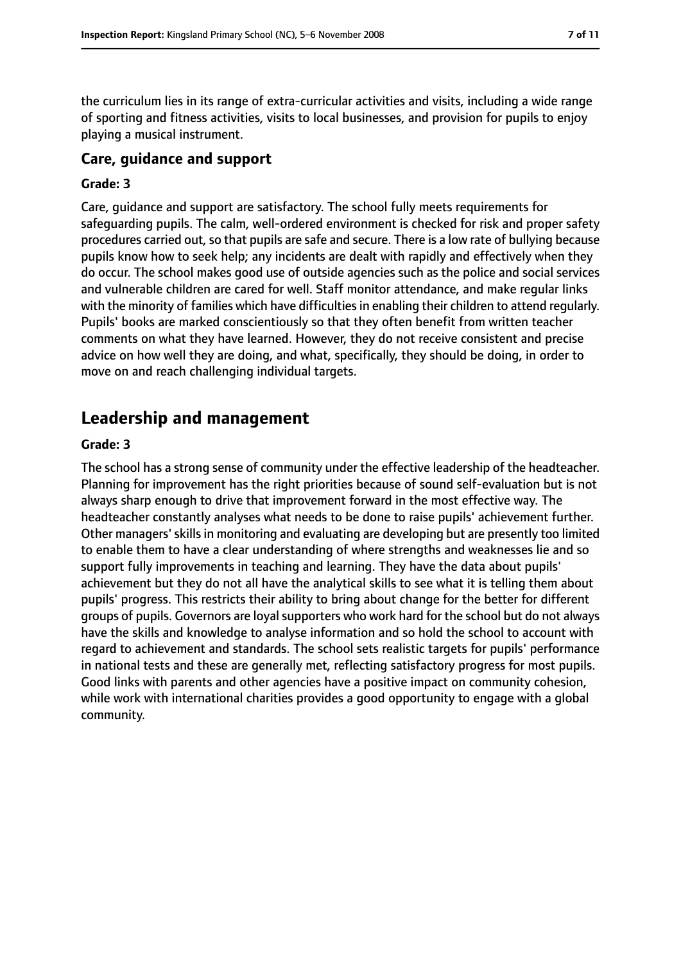the curriculum lies in its range of extra-curricular activities and visits, including a wide range of sporting and fitness activities, visits to local businesses, and provision for pupils to enjoy playing a musical instrument.

#### **Care, guidance and support**

#### **Grade: 3**

Care, guidance and support are satisfactory. The school fully meets requirements for safeguarding pupils. The calm, well-ordered environment is checked for risk and proper safety procedures carried out, so that pupils are safe and secure. There is a low rate of bullying because pupils know how to seek help; any incidents are dealt with rapidly and effectively when they do occur. The school makes good use of outside agencies such as the police and social services and vulnerable children are cared for well. Staff monitor attendance, and make regular links with the minority of families which have difficulties in enabling their children to attend regularly. Pupils' books are marked conscientiously so that they often benefit from written teacher comments on what they have learned. However, they do not receive consistent and precise advice on how well they are doing, and what, specifically, they should be doing, in order to move on and reach challenging individual targets.

### **Leadership and management**

#### **Grade: 3**

The school has a strong sense of community under the effective leadership of the headteacher. Planning for improvement has the right priorities because of sound self-evaluation but is not always sharp enough to drive that improvement forward in the most effective way. The headteacher constantly analyses what needs to be done to raise pupils' achievement further. Other managers'skillsin monitoring and evaluating are developing but are presently too limited to enable them to have a clear understanding of where strengths and weaknesses lie and so support fully improvements in teaching and learning. They have the data about pupils' achievement but they do not all have the analytical skills to see what it is telling them about pupils' progress. This restricts their ability to bring about change for the better for different groups of pupils. Governors are loyal supporters who work hard for the school but do not always have the skills and knowledge to analyse information and so hold the school to account with regard to achievement and standards. The school sets realistic targets for pupils' performance in national tests and these are generally met, reflecting satisfactory progress for most pupils. Good links with parents and other agencies have a positive impact on community cohesion, while work with international charities provides a good opportunity to engage with a global community.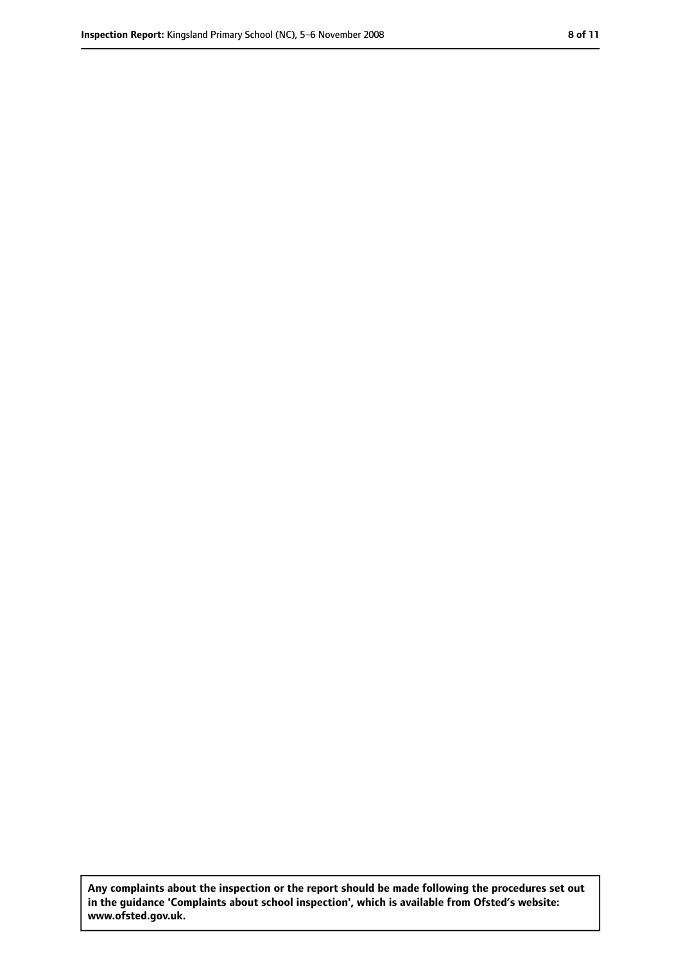**Any complaints about the inspection or the report should be made following the procedures set out in the guidance 'Complaints about school inspection', which is available from Ofsted's website: www.ofsted.gov.uk.**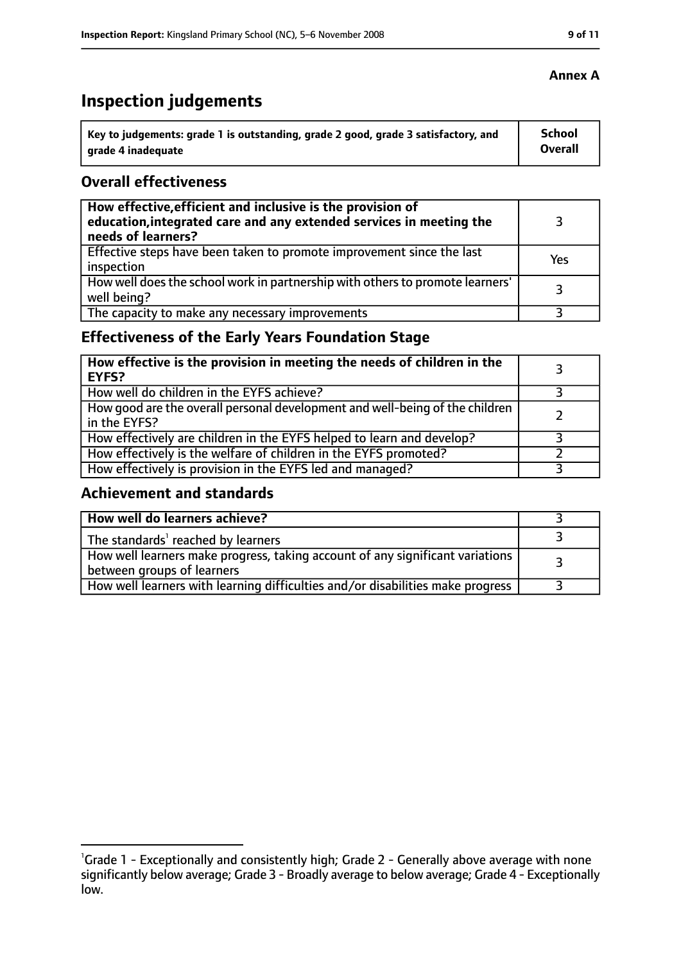## **Inspection judgements**

| ˈ Key to judgements: grade 1 is outstanding, grade 2 good, grade 3 satisfactory, and | <b>School</b>  |
|--------------------------------------------------------------------------------------|----------------|
| arade 4 inadequate                                                                   | <b>Overall</b> |

#### **Overall effectiveness**

| How effective, efficient and inclusive is the provision of<br>education, integrated care and any extended services in meeting the<br>needs of learners? |     |
|---------------------------------------------------------------------------------------------------------------------------------------------------------|-----|
| Effective steps have been taken to promote improvement since the last<br>inspection                                                                     | Yes |
| How well does the school work in partnership with others to promote learners'<br>well being?                                                            | २   |
| The capacity to make any necessary improvements                                                                                                         |     |

### **Effectiveness of the Early Years Foundation Stage**

| How effective is the provision in meeting the needs of children in the<br><b>EYFS?</b>       |  |
|----------------------------------------------------------------------------------------------|--|
| How well do children in the EYFS achieve?                                                    |  |
| How good are the overall personal development and well-being of the children<br>in the EYFS? |  |
| How effectively are children in the EYFS helped to learn and develop?                        |  |
| How effectively is the welfare of children in the EYFS promoted?                             |  |
| How effectively is provision in the EYFS led and managed?                                    |  |

#### **Achievement and standards**

| How well do learners achieve?                                                                               |  |
|-------------------------------------------------------------------------------------------------------------|--|
| The standards <sup>1</sup> reached by learners                                                              |  |
| How well learners make progress, taking account of any significant variations<br>between groups of learners |  |
| How well learners with learning difficulties and/or disabilities make progress                              |  |

<sup>&</sup>lt;sup>1</sup>Grade 1 - Exceptionally and consistently high; Grade 2 - Generally above average with none significantly below average; Grade 3 - Broadly average to below average; Grade 4 - Exceptionally low.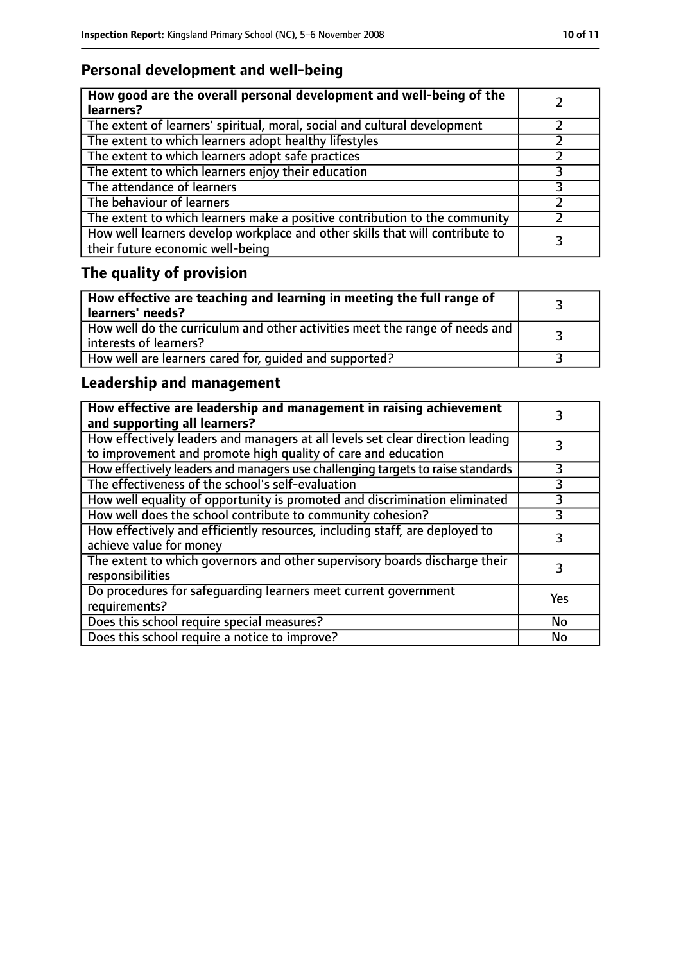### **Personal development and well-being**

| How good are the overall personal development and well-being of the<br>learners?                                 |   |
|------------------------------------------------------------------------------------------------------------------|---|
| The extent of learners' spiritual, moral, social and cultural development                                        |   |
| The extent to which learners adopt healthy lifestyles                                                            |   |
| The extent to which learners adopt safe practices                                                                |   |
| The extent to which learners enjoy their education                                                               | २ |
| The attendance of learners                                                                                       |   |
| The behaviour of learners                                                                                        |   |
| The extent to which learners make a positive contribution to the community                                       |   |
| How well learners develop workplace and other skills that will contribute to<br>their future economic well-being |   |

## **The quality of provision**

| $\mid$ How effective are teaching and learning in meeting the full range of<br>  learners' needs?       |  |
|---------------------------------------------------------------------------------------------------------|--|
| How well do the curriculum and other activities meet the range of needs and<br>  interests of learners? |  |
| How well are learners cared for, quided and supported?                                                  |  |

### **Leadership and management**

| How effective are leadership and management in raising achievement<br>and supporting all learners?                                              |           |
|-------------------------------------------------------------------------------------------------------------------------------------------------|-----------|
| How effectively leaders and managers at all levels set clear direction leading<br>to improvement and promote high quality of care and education |           |
| How effectively leaders and managers use challenging targets to raise standards                                                                 | 3         |
| The effectiveness of the school's self-evaluation                                                                                               | 3         |
| How well equality of opportunity is promoted and discrimination eliminated                                                                      |           |
| How well does the school contribute to community cohesion?                                                                                      | 3         |
| How effectively and efficiently resources, including staff, are deployed to<br>achieve value for money                                          | 3         |
| The extent to which governors and other supervisory boards discharge their<br>responsibilities                                                  | 3         |
| Do procedures for safequarding learners meet current government<br>requirements?                                                                | Yes       |
| Does this school require special measures?                                                                                                      | No        |
| Does this school require a notice to improve?                                                                                                   | <b>No</b> |